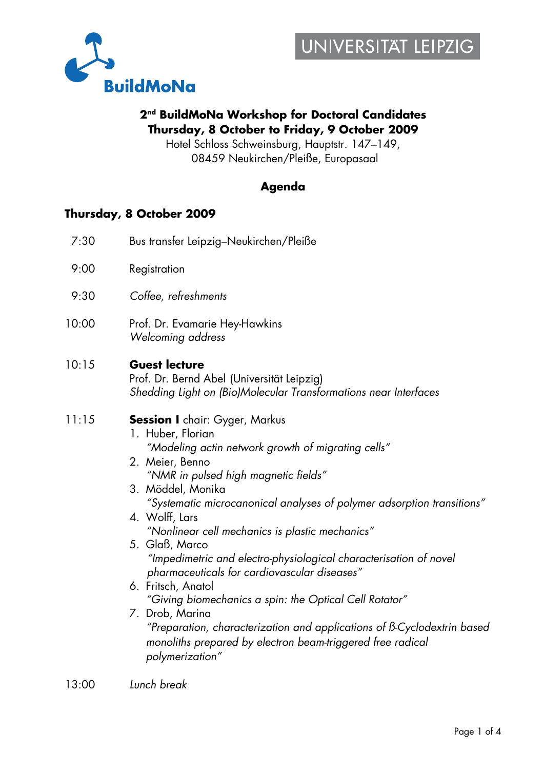

### **2nd BuildMoNa Workshop for Doctoral Candidates Thursday, 8 October to Friday, 9 October 2009**

Hotel Schloss Schweinsburg, Hauptstr. 147–149, 08459 Neukirchen/Pleiße, Europasaal

### **Agenda**

### **Thursday, 8 October 2009**

| 7:30  | Bus transfer Leipzig-Neukirchen/Pleiße                                                                                                                                                                                                                                                                                                                                                                                                                                                                                                                                                                                                                                                                                                                |
|-------|-------------------------------------------------------------------------------------------------------------------------------------------------------------------------------------------------------------------------------------------------------------------------------------------------------------------------------------------------------------------------------------------------------------------------------------------------------------------------------------------------------------------------------------------------------------------------------------------------------------------------------------------------------------------------------------------------------------------------------------------------------|
| 9:00  | Registration                                                                                                                                                                                                                                                                                                                                                                                                                                                                                                                                                                                                                                                                                                                                          |
| 9:30  | Coffee, refreshments                                                                                                                                                                                                                                                                                                                                                                                                                                                                                                                                                                                                                                                                                                                                  |
| 10:00 | Prof. Dr. Evamarie Hey-Hawkins<br>Welcoming address                                                                                                                                                                                                                                                                                                                                                                                                                                                                                                                                                                                                                                                                                                   |
| 10:15 | <b>Guest lecture</b><br>Prof. Dr. Bernd Abel (Universität Leipzig)<br>Shedding Light on (Bio)Molecular Transformations near Interfaces                                                                                                                                                                                                                                                                                                                                                                                                                                                                                                                                                                                                                |
| 11:15 | <b>Session I</b> chair: Gyger, Markus<br>1. Huber, Florian<br>"Modeling actin network growth of migrating cells"<br>2. Meier, Benno<br>"NMR in pulsed high magnetic fields"<br>3. Möddel, Monika<br>"Systematic microcanonical analyses of polymer adsorption transitions"<br>4. Wolff, Lars<br>"Nonlinear cell mechanics is plastic mechanics"<br>5. Glaß, Marco<br>"Impedimetric and electro-physiological characterisation of novel<br>pharmaceuticals for cardiovascular diseases"<br>6. Fritsch, Anatol<br>"Giving biomechanics a spin: the Optical Cell Rotator"<br>7. Drob, Marina<br>"Preparation, characterization and applications of B-Cyclodextrin based<br>monoliths prepared by electron beam-triggered free radical<br>polymerization" |
|       |                                                                                                                                                                                                                                                                                                                                                                                                                                                                                                                                                                                                                                                                                                                                                       |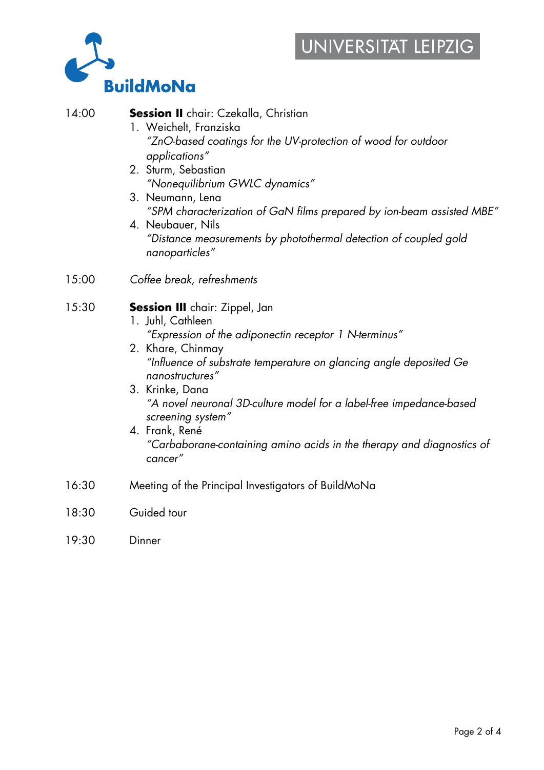# UNIVERSITAT LEIPZIG



| 14:00 | <b>Session II</b> chair: Czekalla, Christian<br>1. Weichelt, Franziska<br>"ZnO-based coatings for the UV-protection of wood for outdoor<br>applications"<br>2. Sturm, Sebastian<br>"Nonequilibrium GWLC dynamics"<br>3. Neumann, Lena<br>"SPM characterization of GaN films prepared by ion-beam assisted MBE"<br>4. Neubauer, Nils<br>"Distance measurements by photothermal detection of coupled gold<br>nanoparticles"                              |
|-------|--------------------------------------------------------------------------------------------------------------------------------------------------------------------------------------------------------------------------------------------------------------------------------------------------------------------------------------------------------------------------------------------------------------------------------------------------------|
| 15:00 | Coffee break, refreshments                                                                                                                                                                                                                                                                                                                                                                                                                             |
| 15:30 | <b>Session III</b> chair: Zippel, Jan<br>1. Juhl, Cathleen<br>"Expression of the adiponectin receptor 1 N-terminus"<br>2. Khare, Chinmay<br>"Influence of substrate temperature on glancing angle deposited Ge<br>nanostructures"<br>3. Krinke, Dana<br>"A novel neuronal 3D-culture model for a label-free impedance-based<br>screening system"<br>4. Frank, René<br>"Carbaborane-containing amino acids in the therapy and diagnostics of<br>cancer" |
| 16:30 | Meeting of the Principal Investigators of BuildMoNa                                                                                                                                                                                                                                                                                                                                                                                                    |
| 18:30 | Guided tour                                                                                                                                                                                                                                                                                                                                                                                                                                            |
| 19:30 | Dinner                                                                                                                                                                                                                                                                                                                                                                                                                                                 |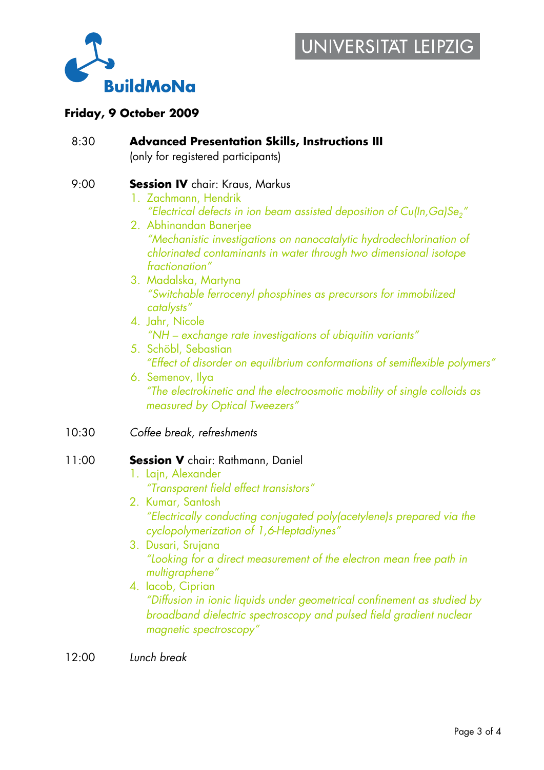

### **Friday, 9 October 2009**

| 8:30  | <b>Advanced Presentation Skills, Instructions III</b><br>(only for registered participants)                                                                                                                                                                                                                                                                                                                                                                                                                                                                                                                                                                                                                                                                                   |
|-------|-------------------------------------------------------------------------------------------------------------------------------------------------------------------------------------------------------------------------------------------------------------------------------------------------------------------------------------------------------------------------------------------------------------------------------------------------------------------------------------------------------------------------------------------------------------------------------------------------------------------------------------------------------------------------------------------------------------------------------------------------------------------------------|
| 9:00  | <b>Session IV</b> chair: Kraus, Markus<br>1. Zachmann, Hendrik<br>"Electrical defects in ion beam assisted deposition of Cu(In, Ga)Se <sub>2</sub> "<br>2. Abhinandan Banerjee<br>"Mechanistic investigations on nanocatalytic hydrodechlorination of<br>chlorinated contaminants in water through two dimensional isotope<br>fractionation"<br>3. Madalska, Martyna<br>"Switchable ferrocenyl phosphines as precursors for immobilized<br>catalysts"<br>4. Jahr, Nicole<br>"NH – exchange rate investigations of ubiquitin variants"<br>5. Schöbl, Sebastian<br>"Effect of disorder on equilibrium conformations of semiflexible polymers"<br>6. Semenov, Ilya<br>"The electrokinetic and the electroosmotic mobility of single colloids as<br>measured by Optical Tweezers" |
| 10:30 | Coffee break, refreshments                                                                                                                                                                                                                                                                                                                                                                                                                                                                                                                                                                                                                                                                                                                                                    |
| 11:00 | <b>Session V</b> chair: Rathmann, Daniel<br>1. Lajn, Alexander<br>"Transparent field effect transistors"<br>2. Kumar, Santosh<br>"Electrically conducting conjugated poly(acetylene)s prepared via the<br>cyclopolymerization of 1,6-Heptadiynes"<br>3. Dusari, Srujana<br>"Looking for a direct measurement of the electron mean free path in<br>multigraphene"<br>4. lacob, Ciprian<br>"Diffusion in ionic liquids under geometrical confinement as studied by<br>broadband dielectric spectroscopy and pulsed field gradient nuclear<br>magnetic spectroscopy"                                                                                                                                                                                                             |
| 12:00 | Lunch break                                                                                                                                                                                                                                                                                                                                                                                                                                                                                                                                                                                                                                                                                                                                                                   |